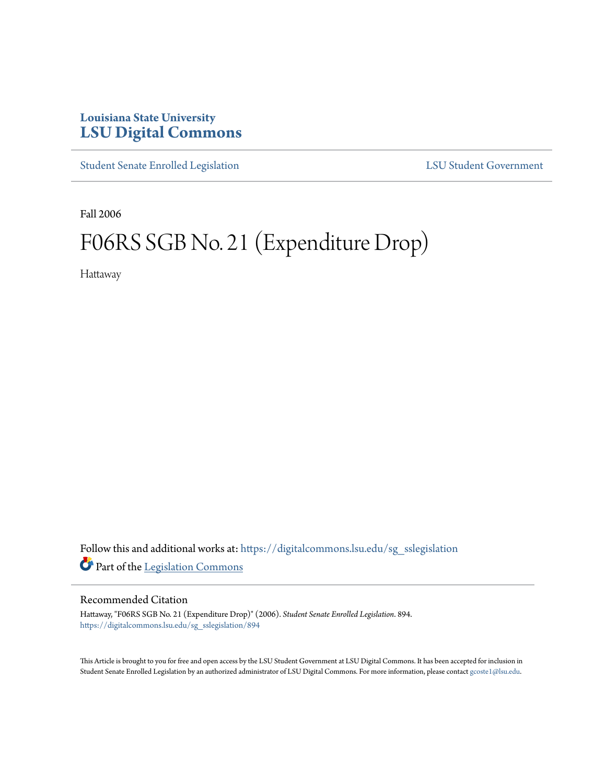## **Louisiana State University [LSU Digital Commons](https://digitalcommons.lsu.edu?utm_source=digitalcommons.lsu.edu%2Fsg_sslegislation%2F894&utm_medium=PDF&utm_campaign=PDFCoverPages)**

[Student Senate Enrolled Legislation](https://digitalcommons.lsu.edu/sg_sslegislation?utm_source=digitalcommons.lsu.edu%2Fsg_sslegislation%2F894&utm_medium=PDF&utm_campaign=PDFCoverPages) [LSU Student Government](https://digitalcommons.lsu.edu/sg?utm_source=digitalcommons.lsu.edu%2Fsg_sslegislation%2F894&utm_medium=PDF&utm_campaign=PDFCoverPages)

Fall 2006

## F06RS SGB No. 21 (Expenditure Drop)

Hattaway

Follow this and additional works at: [https://digitalcommons.lsu.edu/sg\\_sslegislation](https://digitalcommons.lsu.edu/sg_sslegislation?utm_source=digitalcommons.lsu.edu%2Fsg_sslegislation%2F894&utm_medium=PDF&utm_campaign=PDFCoverPages) Part of the [Legislation Commons](http://network.bepress.com/hgg/discipline/859?utm_source=digitalcommons.lsu.edu%2Fsg_sslegislation%2F894&utm_medium=PDF&utm_campaign=PDFCoverPages)

## Recommended Citation

Hattaway, "F06RS SGB No. 21 (Expenditure Drop)" (2006). *Student Senate Enrolled Legislation*. 894. [https://digitalcommons.lsu.edu/sg\\_sslegislation/894](https://digitalcommons.lsu.edu/sg_sslegislation/894?utm_source=digitalcommons.lsu.edu%2Fsg_sslegislation%2F894&utm_medium=PDF&utm_campaign=PDFCoverPages)

This Article is brought to you for free and open access by the LSU Student Government at LSU Digital Commons. It has been accepted for inclusion in Student Senate Enrolled Legislation by an authorized administrator of LSU Digital Commons. For more information, please contact [gcoste1@lsu.edu.](mailto:gcoste1@lsu.edu)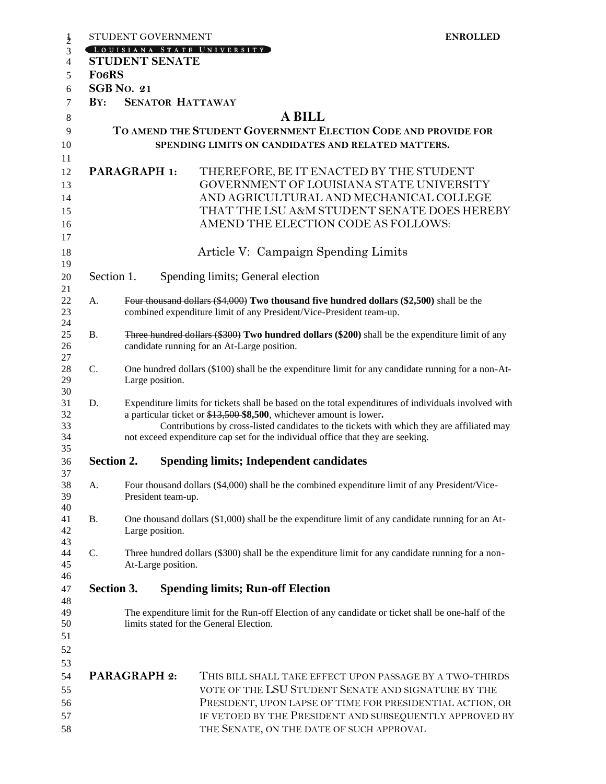|                           |  | STUDENT GOVERNMENT                                                                                                                                                                                                                                                                                                                                           |                                                                                                                                                                                                                         | <b>ENROLLED</b> |  |
|---------------------------|--|--------------------------------------------------------------------------------------------------------------------------------------------------------------------------------------------------------------------------------------------------------------------------------------------------------------------------------------------------------------|-------------------------------------------------------------------------------------------------------------------------------------------------------------------------------------------------------------------------|-----------------|--|
|                           |  |                                                                                                                                                                                                                                                                                                                                                              | LOUISIANA STATE UNIVERSITY                                                                                                                                                                                              |                 |  |
|                           |  | <b>STUDENT SENATE</b>                                                                                                                                                                                                                                                                                                                                        |                                                                                                                                                                                                                         |                 |  |
| <b>FO6RS</b>              |  |                                                                                                                                                                                                                                                                                                                                                              |                                                                                                                                                                                                                         |                 |  |
| <b>SGB No. 21</b>         |  |                                                                                                                                                                                                                                                                                                                                                              |                                                                                                                                                                                                                         |                 |  |
| $\mathbf{B} \mathbf{Y}$ : |  |                                                                                                                                                                                                                                                                                                                                                              | <b>SENATOR HATTAWAY</b>                                                                                                                                                                                                 |                 |  |
|                           |  |                                                                                                                                                                                                                                                                                                                                                              | <b>A BILL</b>                                                                                                                                                                                                           |                 |  |
|                           |  |                                                                                                                                                                                                                                                                                                                                                              | TO AMEND THE STUDENT GOVERNMENT ELECTION CODE AND PROVIDE FOR                                                                                                                                                           |                 |  |
|                           |  |                                                                                                                                                                                                                                                                                                                                                              | SPENDING LIMITS ON CANDIDATES AND RELATED MATTERS.                                                                                                                                                                      |                 |  |
| <b>PARAGRAPH 1:</b>       |  |                                                                                                                                                                                                                                                                                                                                                              | THEREFORE, BE IT ENACTED BY THE STUDENT                                                                                                                                                                                 |                 |  |
|                           |  |                                                                                                                                                                                                                                                                                                                                                              | GOVERNMENT OF LOUISIANA STATE UNIVERSITY<br>AND AGRICULTURAL AND MECHANICAL COLLEGE                                                                                                                                     |                 |  |
|                           |  |                                                                                                                                                                                                                                                                                                                                                              |                                                                                                                                                                                                                         |                 |  |
|                           |  |                                                                                                                                                                                                                                                                                                                                                              |                                                                                                                                                                                                                         |                 |  |
|                           |  |                                                                                                                                                                                                                                                                                                                                                              | Article V: Campaign Spending Limits                                                                                                                                                                                     |                 |  |
| Section 1.                |  |                                                                                                                                                                                                                                                                                                                                                              | Spending limits; General election                                                                                                                                                                                       |                 |  |
| A.                        |  | Four thousand dollars (\$4,000) Two thousand five hundred dollars (\$2,500) shall be the<br>combined expenditure limit of any President/Vice-President team-up.                                                                                                                                                                                              |                                                                                                                                                                                                                         |                 |  |
| <b>B.</b>                 |  | <b>Three hundred dollars (\$300) Two hundred dollars (\$200)</b> shall be the expenditure limit of any<br>candidate running for an At-Large position.                                                                                                                                                                                                        |                                                                                                                                                                                                                         |                 |  |
| $\mathbf{C}$ .            |  | One hundred dollars (\$100) shall be the expenditure limit for any candidate running for a non-At-<br>Large position.                                                                                                                                                                                                                                        |                                                                                                                                                                                                                         |                 |  |
| D.                        |  | Expenditure limits for tickets shall be based on the total expenditures of individuals involved with<br>a particular ticket or \$13,500 \$8,500, whichever amount is lower.<br>Contributions by cross-listed candidates to the tickets with which they are affiliated may<br>not exceed expenditure cap set for the individual office that they are seeking. |                                                                                                                                                                                                                         |                 |  |
| <b>Section 2.</b>         |  |                                                                                                                                                                                                                                                                                                                                                              | <b>Spending limits; Independent candidates</b>                                                                                                                                                                          |                 |  |
| A.                        |  | Four thousand dollars (\$4,000) shall be the combined expenditure limit of any President/Vice-<br>President team-up.                                                                                                                                                                                                                                         |                                                                                                                                                                                                                         |                 |  |
| <b>B.</b>                 |  | One thousand dollars (\$1,000) shall be the expenditure limit of any candidate running for an At-<br>Large position.                                                                                                                                                                                                                                         |                                                                                                                                                                                                                         |                 |  |
| C.                        |  | Three hundred dollars (\$300) shall be the expenditure limit for any candidate running for a non-<br>At-Large position.                                                                                                                                                                                                                                      |                                                                                                                                                                                                                         |                 |  |
| Section 3.                |  |                                                                                                                                                                                                                                                                                                                                                              | <b>Spending limits; Run-off Election</b>                                                                                                                                                                                |                 |  |
|                           |  |                                                                                                                                                                                                                                                                                                                                                              | The expenditure limit for the Run-off Election of any candidate or ticket shall be one-half of the<br>limits stated for the General Election.                                                                           |                 |  |
| <b>PARAGRAPH 2:</b>       |  |                                                                                                                                                                                                                                                                                                                                                              | THIS BILL SHALL TAKE EFFECT UPON PASSAGE BY A TWO-THIRDS                                                                                                                                                                |                 |  |
|                           |  |                                                                                                                                                                                                                                                                                                                                                              | VOTE OF THE LSU STUDENT SENATE AND SIGNATURE BY THE<br>PRESIDENT, UPON LAPSE OF TIME FOR PRESIDENTIAL ACTION, OR<br>IF VETOED BY THE PRESIDENT AND SUBSEQUENTLY APPROVED BY<br>THE SENATE, ON THE DATE OF SUCH APPROVAL |                 |  |